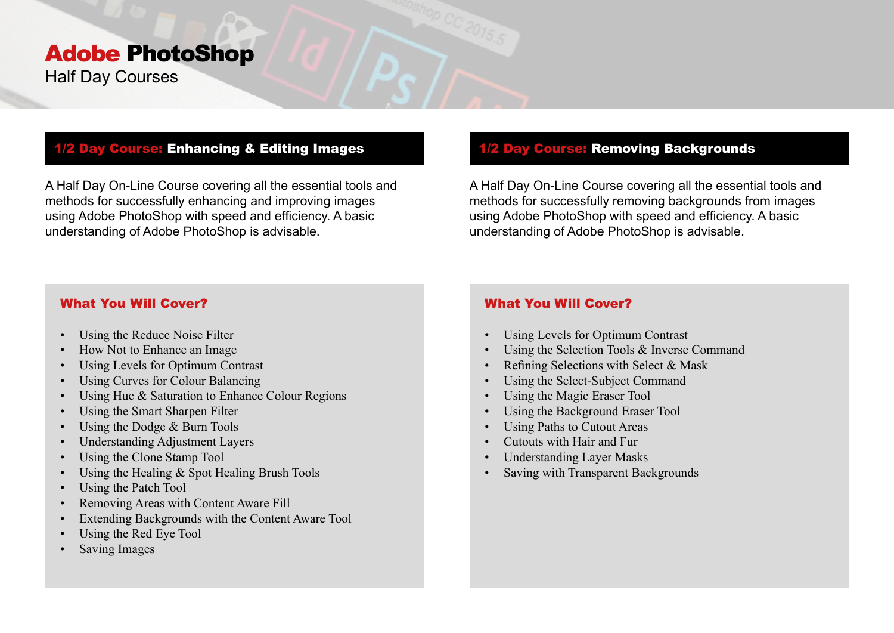# Adobe PhotoShop Half Day Courses

## 1/2 Day Course: Enhancing & Editing Images

A Half Day On-Line Course covering all the essential tools and methods for successfully enhancing and improving images using Adobe PhotoShop with speed and efficiency. A basic understanding of Adobe PhotoShop is advisable.

## 1/2 Day Course: Removing Backgrounds

A Half Day On-Line Course covering all the essential tools and methods for successfully removing backgrounds from images using Adobe PhotoShop with speed and efficiency. A basic understanding of Adobe PhotoShop is advisable.

### What You Will Cover?

- Using the Reduce Noise Filter
- How Not to Enhance an Image
- Using Levels for Optimum Contrast
- Using Curves for Colour Balancing
- Using Hue & Saturation to Enhance Colour Regions
- Using the Smart Sharpen Filter
- Using the Dodge & Burn Tools
- Understanding Adjustment Layers
- Using the Clone Stamp Tool
- Using the Healing & Spot Healing Brush Tools
- Using the Patch Tool
- Removing Areas with Content Aware Fill
- Extending Backgrounds with the Content Aware Tool
- Using the Red Eye Tool
- Saving Images

# What You Will Cover?

- Using Levels for Optimum Contrast
- Using the Selection Tools & Inverse Command
- Refining Selections with Select & Mask
- Using the Select-Subject Command
- Using the Magic Eraser Tool
- Using the Background Eraser Tool
- Using Paths to Cutout Areas
- Cutouts with Hair and Fur
- Understanding Layer Masks
- Saving with Transparent Backgrounds